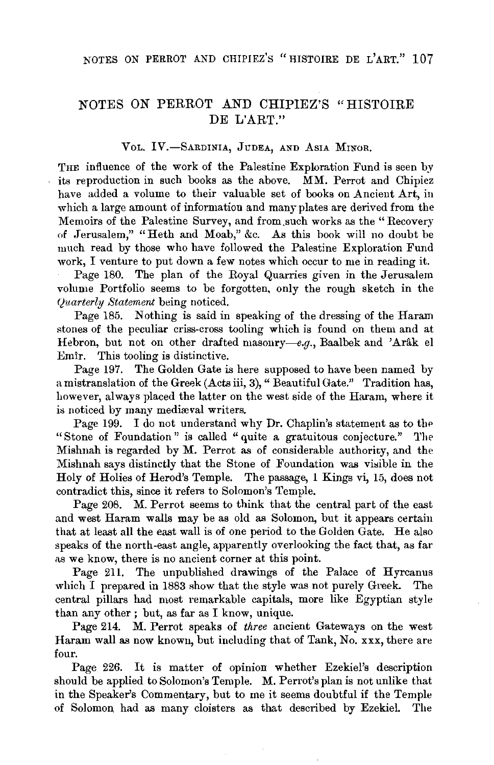## NOTES ON PERROT AND CHIPIEZ'S "HISTOIRE DE L'ART."

VOL. IV.-SARDINIA, JUDEA, AND ASIA MINOR.

THE influence of the work of the Palestine Exploration Fund is seen by its reproduction in such books as the above. MM. Perrot and Chipiez have added a volume to their valuable set of books on Ancient Art, in which a large amount of information and many plates are derived from the Memoirs of the Palestine Survey, and from.such works as the "Recovery of Jerusalem," "Heth and Moab," &c. As this book will no doubt be much read by those who have followed the Palestine Exploration Fund work, I venture to put down a few notes which occur to me in reading it.

Page 180. The plan of the Royal Quarries given in the Jerusalem volume Portfolio seems to be forgotten, only the rough sketch in the *<Juarterly Statement* being noticed.

Page 185. Nothing is said in speaking of the dressing of the Haram stones of the peculiar criss-cross tooling which is found on them and at Hebron, but not on other drafted masonry-e.g., Baalbek and 'Arak el Emir. This tooling is distinctive.

Page 197. The Golden Gate is here supposed to have been named by a mistranslation of the Greek (Acts iii, 3)," Beautiful Gate." Tradition has, however, always placed the latter on the west side of the Haram, where it is noticed by many mediæval writers.

Page 199. I do not understand why Dr. Chaplin's statement as to the "Stone of Foundation" is called "quite a gratuitous conjecture." The Mishnah is regarded by M. Perrot as of considerable authority, and the Mishnah says distinctly that the Stone of Foundation was visible in the Holy of Holies of Herod's Temple. The passage, 1 Kings vi, 15, does not contradict this, since it refers to Solomon's Temple.

Page 208. M. Perrot seems to think that the central part of the east and west Haram walls may be as old as Solomon, but it appears certain that at least all the east wall is of one period to the Golden Gate. He also speaks of the north-east angle, apparently overlooking the fact that, as far as we know, there is no ancient corner at this point.

Page 211. The unpublished drawings of the Palace of Hyrcanus which I prepared in 1883 show that the style was not purely Greek. The central pillars had most remarkable capitals, more like Egyptian style than any other ; but, as far as I know, unique.

Page 214. M. Perrot speaks of *three* ancient Gateways on the west Haram wall as now known, but including that of Tank, No. xxx, there are four.

Page 226. It is matter of opinion whether Ezekiel's description should be applied to Solomon's Temple. M. Perrot's plan is not unlike that in the Speaker's Commentary, but to me it seems doubtful if the Temple of Solomon, had as many cloisters as that described by Ezekiel. The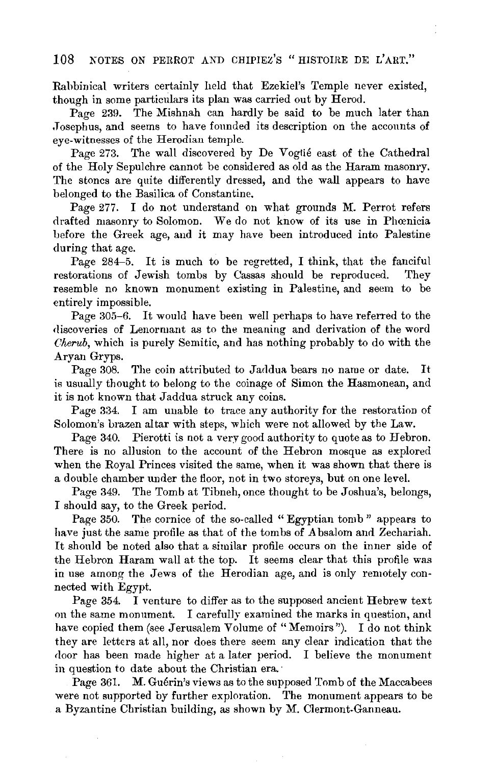Rabbinical writers certainly held that Ezekiel's Temple never existed, though in some particulars its plan was carried out by Herod.

Page 239. The Mishnah can hardly be said to be much later than .Tosephus, and seems to have founded its description on the accounts of eye-witnesses of the Herodian temple.

Page 273. The wall discovered by De Vogtié east of the Cathedral of the Holy Sepulchre cannot be considered as old as the Haram masonry. The stones are quite differently dressed, and the wall appears to have belonged to the Basilica of Constantine.

Page 277. I do not understand on what grounds M. Perrot refers drafted masonry to Solomon. We do not know of its use in Phoenicia before the Greek age, and it may have been introduced into Palestine during that age.

Page 284-5. It is much to be regretted, I think, that the fanciful restorations of Jewish tombs by Cassas should be reproduced. They resemble no known monument existing in Palestine, and seem to be entirely impossible.

Page 305-6. It would have been well perhaps to have referred to the discoveries of Lenormant as to the meaning and derivation of the word *Cherub,* which is purely Semitic, and has nothing probably to do with the Aryan Gryps.

Page 308. The coin attributed to Jaddua bears no name or date. It is usually thought to belong to the coinage of Simon the Hasmonean, and it is not known that Jaddua struck any coins.

Page 334. I am unable to trace any authority for the restoration of Solomon's brazen altar with steps, which were not allowed by the Law.

Page 340. Pierotti is not a very good authority to quote as to Hebron. There is no allusion to the account of the Hebron mosque as explored when the Royal Princes visited the same, when it was shown that there is a double chamber under the floor, not in two storeys, but on one level.

Page 349. The Tomb at Tibneh, once thought to be Joshua's, belongs, I should say, to the Greek period.

Page 350. The cornice of the so-called "Egyptian tomb" appears to have just the same profile as that of the tombs of A bsalom and Zechariah. It should be noted also that a similar profile occurs on the inner side of the Hebron Haram wall at the top. It seems clear that this profile was in use among the Jews of the Herodian age, and is only remotely connected with Egypt.

Page 354. I venture to differ as to the supposed ancient Hebrew text on the same monument. I carefully examined the marks in question, and have copied them (see Jerusalem Volume of "Memoirs"). I do not think they are letters at all, nor does there seem any clear indication that the door has been made higher at a later period. I believe the monument in question to date about the Christian era.

Page 361. M. Guérin's views as to the supposed Tomb of the Maccabees were not supported by further exploration. The monument appears to be a Byzantine Christian building, as shown by M. Clermont-Ganneau.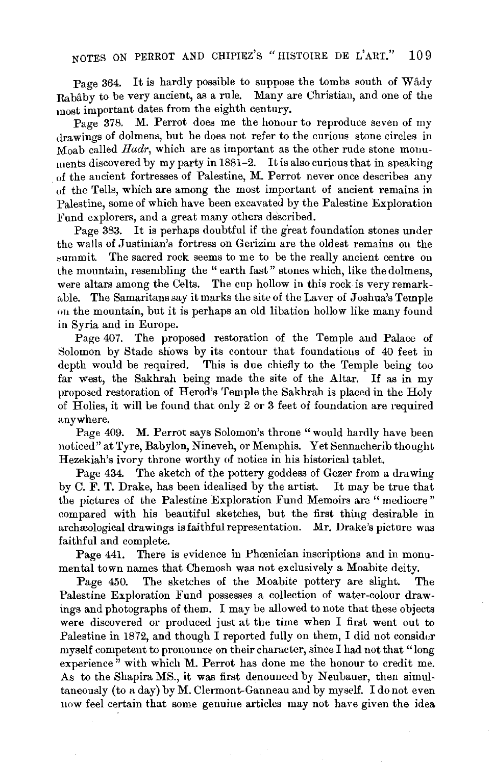## NOTES ON PERROT AND CHIPIEZ'S "HISTOIRE DE L'ART." 109

Page 364. It is hardly possible to suppose the tombs south of Wady Rababy to be very ancient, as a rule. Many are Christiau, and one of the most important dates from the eighth century.

Page 378. M. Perrot does me the honour to reproduce seven of my drawings of dolmens, but he does not refer to the curious stone circles in Moab called *Hadr,* which are as important as the other rude stone monuments discovered by my party in  $1881-2$ . It is also curious that in speaking of the aucient fortresses of Palestine, M. Perrot never once describes any of the Tells, which are among the most important of ancient remains in Palestine, some of which have been excavated by the Palestine Exploration Fund explorers, and a great many others described.

Page 383. It is perhaps doubtful if the great foundation stones under the walls of Justinian's fortress on Gerizim are the oldest remains on the summit. The sacred rock seems to me to be the really ancient centre on the mountain, resembling the "earth fast" stones which, like the dolmens, were altars among the Celts. The cup hollow in this rock is very remarkable. The Samaritans say it marks the site of the Laver of Joshua's Temple on the mountain, but it is perhaps an old libation hollow like many found in Syria and in Europe.

Page 407. The proposed restoration of the Temple and Palace of Solomon by Stade shows by its contour that foundations of 40 feet in depth would be required. This is due chiefly to the Temple being too far west, the Sakhrah being made the site of the Altar. If as in my proposed restoration of Herod's Temple the Sakhrah is placed in the Holy of Holies, it will 1e found that only 2 or 3 feet of foundation are required anywhere.

Page 409. M. Perrot says Solomon's throne "would hardly have been noticed" at Tyre, Babylon, Nineveh, or Memphis. Yet Sennacherib thought Hezekiah's ivory throne worthy of notice in his historical tablet.

Page 434. The sketch of the pottery goddess of Gezer from a drawing by C. F. T. Drake, has been idealised by the artist. It may be true that the pictures of the Palestine Exploration Fund Memoirs are "mediocre" compared with his beautiful sketches, but the first thing desirable in archæological drawings is faithful representation. Mr. Drake's picture was faithful and complete.

Page 441. There is evidence in Phoenician inscriptions and in monumental town names that Chemosh was not exclusively a Moabite deity.

Page 450. The sketches of the Moabite pottery are slight. The Palestine Exploration Fund possesses a collection of water-colour drawings and photographs of them. I may be allowed to note that these objects were discovered or produced just at the time when I first went out to Palestine in 1872, and though I reported fully on them, I did not consider myself competent to pronounce on their character, since I had not that "long experience" with which M. Perrot has done me the honour to credit me. As to the Shapira MS., it was first denounced by Neubauer, then simultaneously (to a day) by M. Clennont-Ganneau and by myself. I do not even now feel certain that some genuine articles may not have given the idea